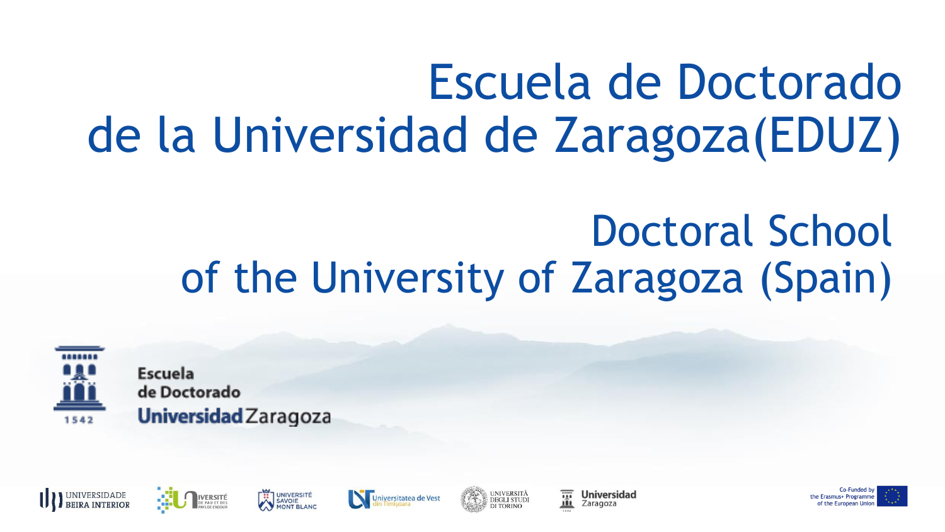### Escuela de Doctorado de la Universidad de Zaragoza(EDUZ)

### Doctoral School of the University of Zaragoza (Spain)



Escuela de Doctorado Universidad Zaragoza











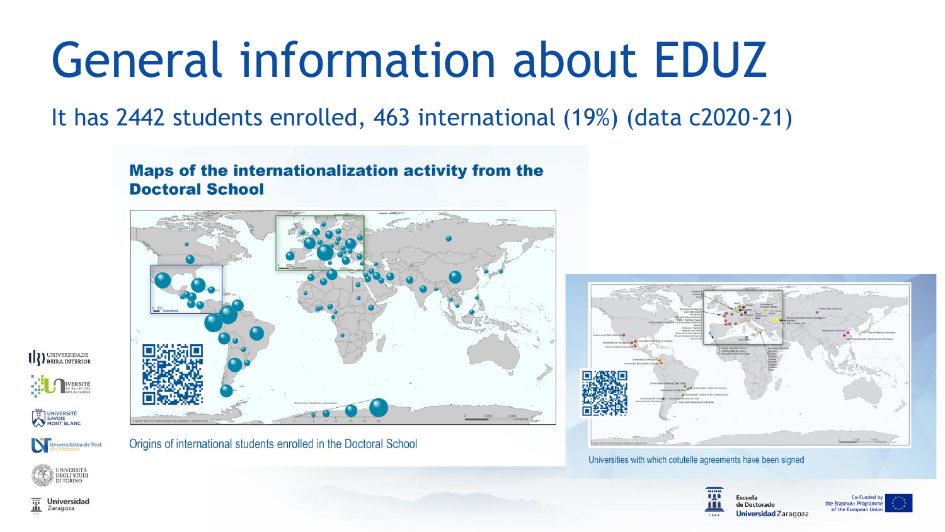### General information about EDUZ

It has 2442 students enrolled, 463 international (19%) (data c2020-21)

**Maps of the internationalization activity from the Doctoral School** 



UNIVERSIDADE **VERSITÉ** UNIVERSITÉ SAVOIE

Universitatea de Vest

UNIVERSITÀ<br>DEGLI STUDI

Origins of international students enrolled in the Doctoral School



Universities with which cotutelle agreements have been signed



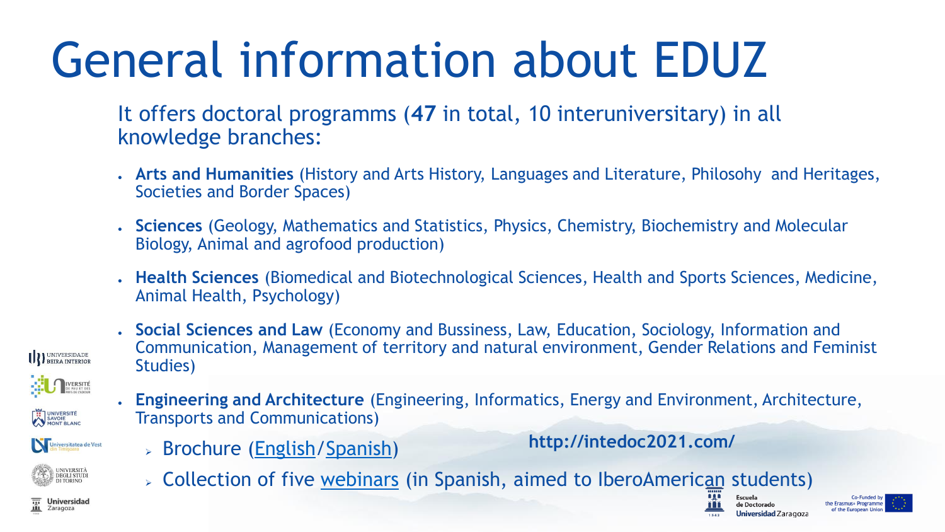## General information about EDUZ

It offers doctoral programms (**47** in total, 10 interuniversitary) in all knowledge branches:

- **Arts and Humanities** (History and Arts History, Languages and Literature, Philosohy and Heritages, Societies and Border Spaces)
- **Sciences** (Geology, Mathematics and Statistics, Physics, Chemistry, Biochemistry and Molecular Biology, Animal and agrofood production)
- **Health Sciences** (Biomedical and Biotechnological Sciences, Health and Sports Sciences, Medicine, Animal Health, Psychology)
- **Social Sciences and Law** (Economy and Bussiness, Law, Education, Sociology, Information and Communication, Management of territory and natural environment, Gender Relations and Feminist Studies)



UNIVERSITÉ<br>SAVOIE<br>MONT BLANC

Universitatea de Vest

**UNIVERSIT/ DEGLI STUDI** 

**Universidad** 

Zaragoza

UNIVERSIDADE

- **Engineering and Architecture** (Engineering, Informatics, Energy and Environment, Architecture, Transports and Communications)
	- ➢ Brochure ([English/](http://intedoc2021.com/brochure-phd-at-the-university-of-zaragoza/)[Spanish\)](http://intedoc2021.com/folleto-doctorado-en-la-universidad-de-zaragoza/)

**http://intedoc2021.com/**

➢ Collection of five [webinars](http://intedoc2021.com/seminarios/) (in Spanish, aimed to IberoAmerican students)

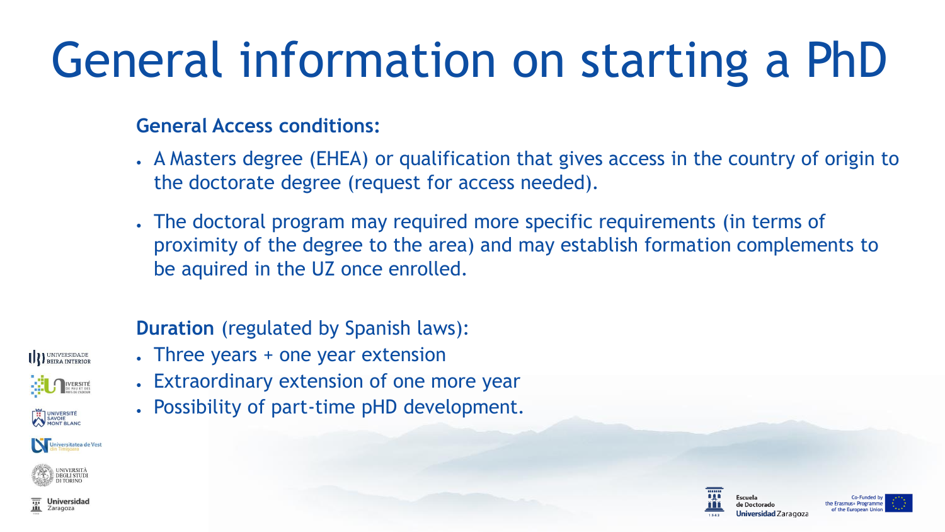## General information on starting a PhD

#### **General Access conditions:**

- A Masters degree (EHEA) or qualification that gives access in the country of origin to the doctorate degree (request for access needed).
- The doctoral program may required more specific requirements (in terms of proximity of the degree to the area) and may establish formation complements to be aquired in the UZ once enrolled.

#### **Duration** (regulated by Spanish laws):

- Three years + one year extension
- Extraordinary extension of one more year
- Possibility of part-time pHD development.



**Universidad** 

Zaragoza



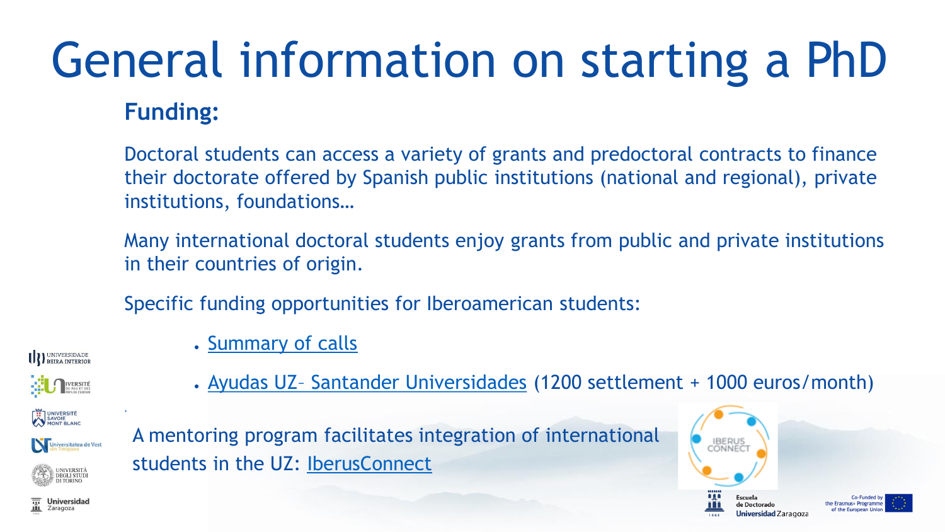# General information on starting a PhD

#### **Funding:**

Doctoral students can access a variety of grants and predoctoral contracts to finance their doctorate offered by Spanish public institutions (national and regional), private institutions, foundations…

Many international doctoral students enjoy grants from public and private institutions in their countries of origin.

• Ayudas UZ- [Santander Universidades](https://internacional.unizar.es/ayudasantander-doctorado) (1200 settlement + 1000 euros/month)

Specific funding opportunities for Iberoamerican students:

• [Summary of calls](https://escueladoctorado.unizar.es/es/menu-ayudas-america)

UNIVERSIDADE

**IVERSITÉ** 

UNIVERSITÉ<br>SAVOIE<br>MONT BLANC



+



A mentoring program facilitates integration of international students in the UZ: [IberusConnect](https://www.campusiberus.es/iberus-connect/)

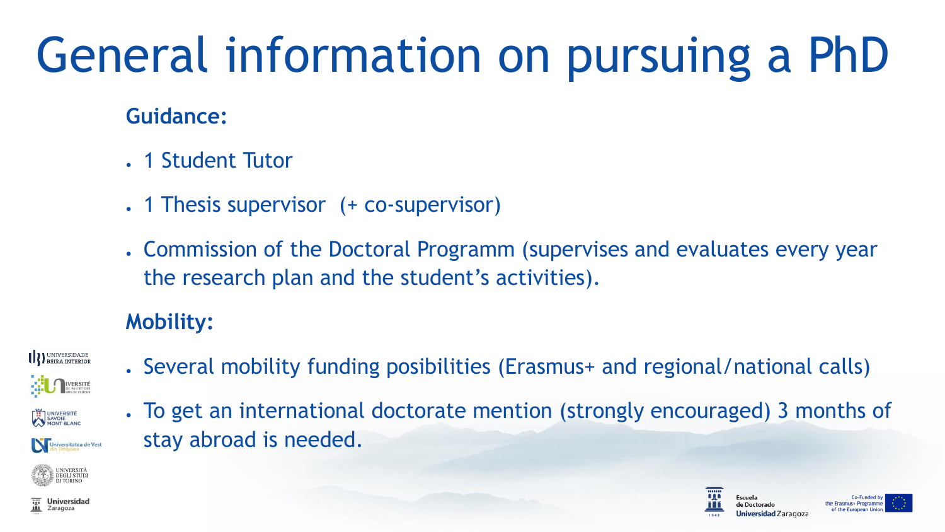# General information on pursuing a PhD

#### **Guidance:**

- 1 Student Tutor
- . 1 Thesis supervisor (+ co-supervisor)
- Commission of the Doctoral Programm (supervises and evaluates every year the research plan and the student's activities).

#### **Mobility:**



- Several mobility funding posibilities (Erasmus+ and regional/national calls)
- To get an international doctorate mention (strongly encouraged) 3 months of stay abroad is needed.







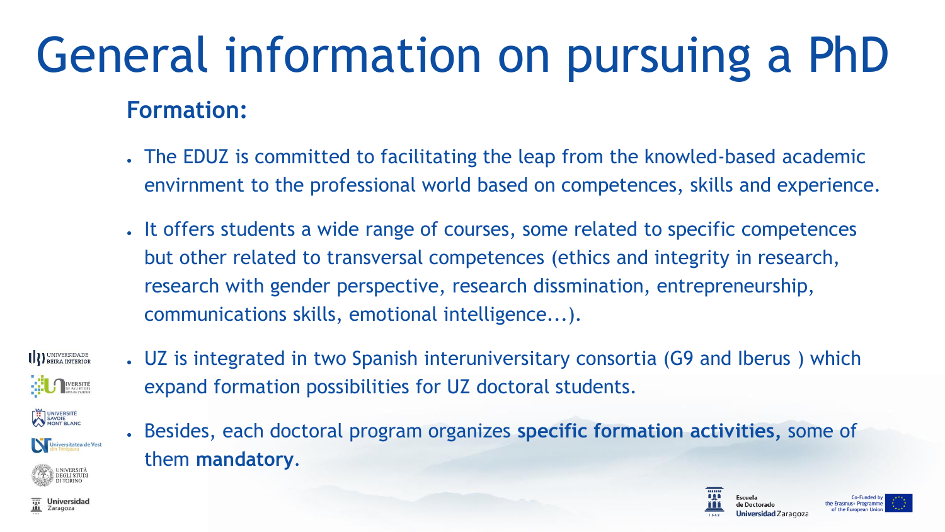### **Formation:** General information on pursuing a PhD

- The EDUZ is committed to facilitating the leap from the knowled-based academic envirnment to the professional world based on competences, skills and experience.
- It offers students a wide range of courses, some related to specific competences but other related to transversal competences (ethics and integrity in research, research with gender perspective, research dissmination, entrepreneurship, communications skills, emotional intelligence...).



Zaragoza

• UZ is integrated in two Spanish interuniversitary consortia (G9 and Iberus ) which expand formation possibilities for UZ doctoral students.



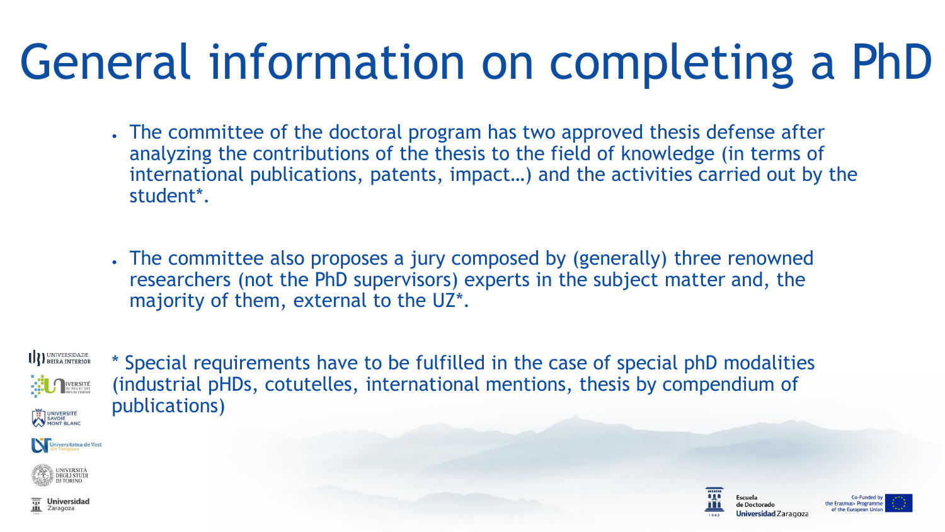## General information on completing a PhD

- The committee of the doctoral program has two approved thesis defense after analyzing the contributions of the thesis to the field of knowledge (in terms of international publications, patents, impact…) and the activities carried out by the student\*.
- The committee also proposes a jury composed by (generally) three renowned researchers (not the PhD supervisors) experts in the subject matter and, the majority of them, external to the UZ\*.

UNIVERSIDADE<br>BEIRA INTERIOR IVERSITÉ UNIVERSITÉ

\* Special requirements have to be fulfilled in the case of special phD modalities (industrial pHDs, cotutelles, international mentions, thesis by compendium of publications)